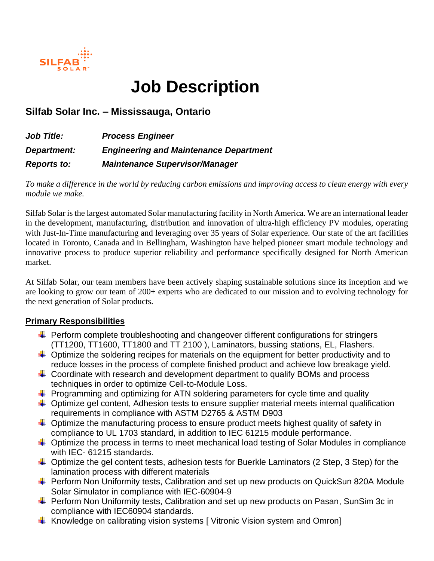

# **Job Description**

## **Silfab Solar Inc. – Mississauga, Ontario**

| Job Title:         | <b>Process Engineer</b>                       |
|--------------------|-----------------------------------------------|
| <b>Department:</b> | <b>Engineering and Maintenance Department</b> |
| <b>Reports to:</b> | <b>Maintenance Supervisor/Manager</b>         |

*To make a difference in the world by reducing carbon emissions and improving access to clean energy with every module we make.*

Silfab Solar is the largest automated Solar manufacturing facility in North America. We are an international leader in the development, manufacturing, distribution and innovation of ultra-high efficiency PV modules, operating with Just-In-Time manufacturing and leveraging over 35 years of Solar experience. Our state of the art facilities located in Toronto, Canada and in Bellingham, Washington have helped pioneer smart module technology and innovative process to produce superior reliability and performance specifically designed for North American market.

At Silfab Solar, our team members have been actively shaping sustainable solutions since its inception and we are looking to grow our team of 200+ experts who are dedicated to our mission and to evolving technology for the next generation of Solar products.

#### **Primary Responsibilities**

- $\ddot{\phantom{1}}$  Perform complete troubleshooting and changeover different configurations for stringers (TT1200, TT1600, TT1800 and TT 2100 ), Laminators, bussing stations, EL, Flashers.
- $\ddot{\phantom{1}}$  Optimize the soldering recipes for materials on the equipment for better productivity and to reduce losses in the process of complete finished product and achieve low breakage yield.
- $\ddot{+}$  Coordinate with research and development department to qualify BOMs and process techniques in order to optimize Cell-to-Module Loss.
- $\ddot{+}$  Programming and optimizing for ATN soldering parameters for cycle time and quality
- $\ddot{+}$  Optimize gel content, Adhesion tests to ensure supplier material meets internal qualification requirements in compliance with ASTM D2765 & ASTM D903
- $\ddot{\phantom{1}}$  Optimize the manufacturing process to ensure product meets highest quality of safety in compliance to UL 1703 standard, in addition to IEC 61215 module performance.
- $\downarrow$  Optimize the process in terms to meet mechanical load testing of Solar Modules in compliance with IEC- 61215 standards.
- $\ddot{+}$  Optimize the gel content tests, adhesion tests for Buerkle Laminators (2 Step, 3 Step) for the lamination process with different materials
- ↓ Perform Non Uniformity tests, Calibration and set up new products on QuickSun 820A Module Solar Simulator in compliance with IEC-60904-9
- $\ddot{+}$  Perform Non Uniformity tests, Calibration and set up new products on Pasan, SunSim 3c in compliance with IEC60904 standards.
- $\downarrow$  Knowledge on calibrating vision systems [ Vitronic Vision system and Omron]